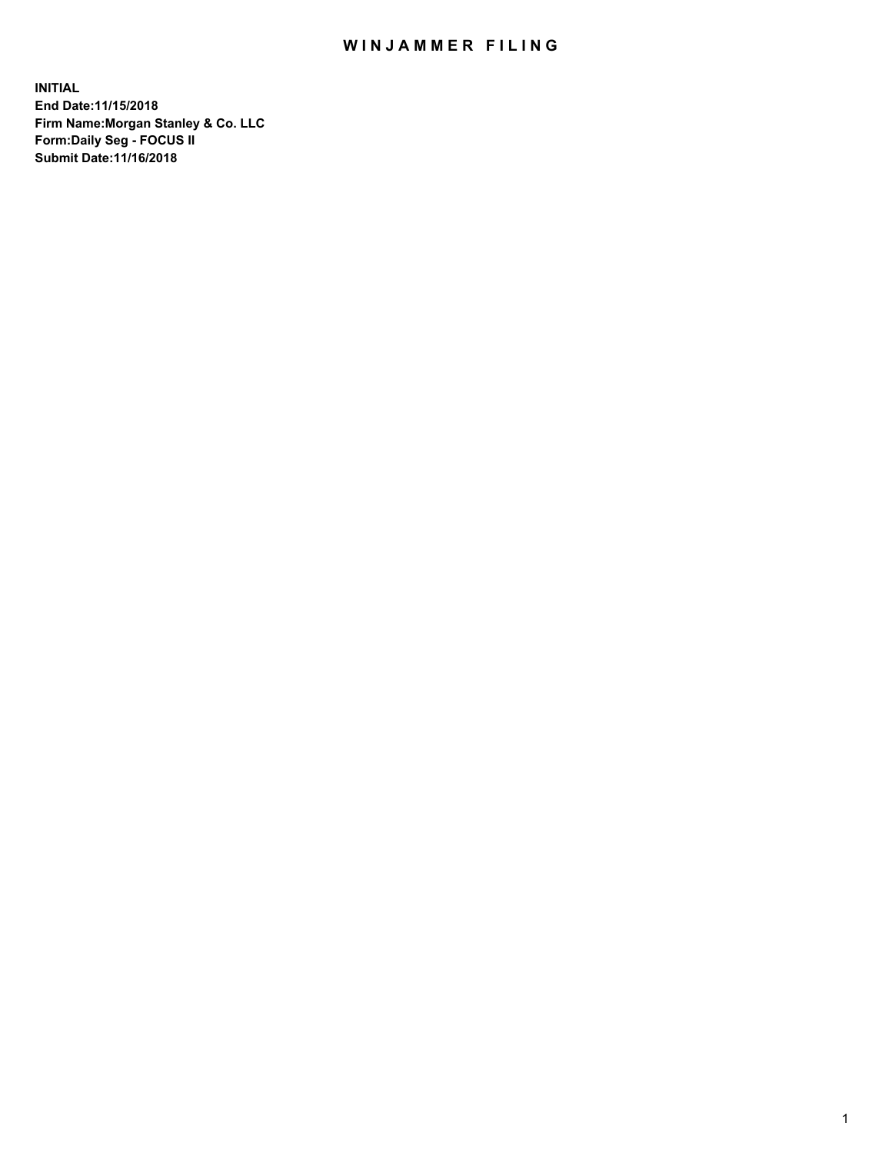## WIN JAMMER FILING

**INITIAL End Date:11/15/2018 Firm Name:Morgan Stanley & Co. LLC Form:Daily Seg - FOCUS II Submit Date:11/16/2018**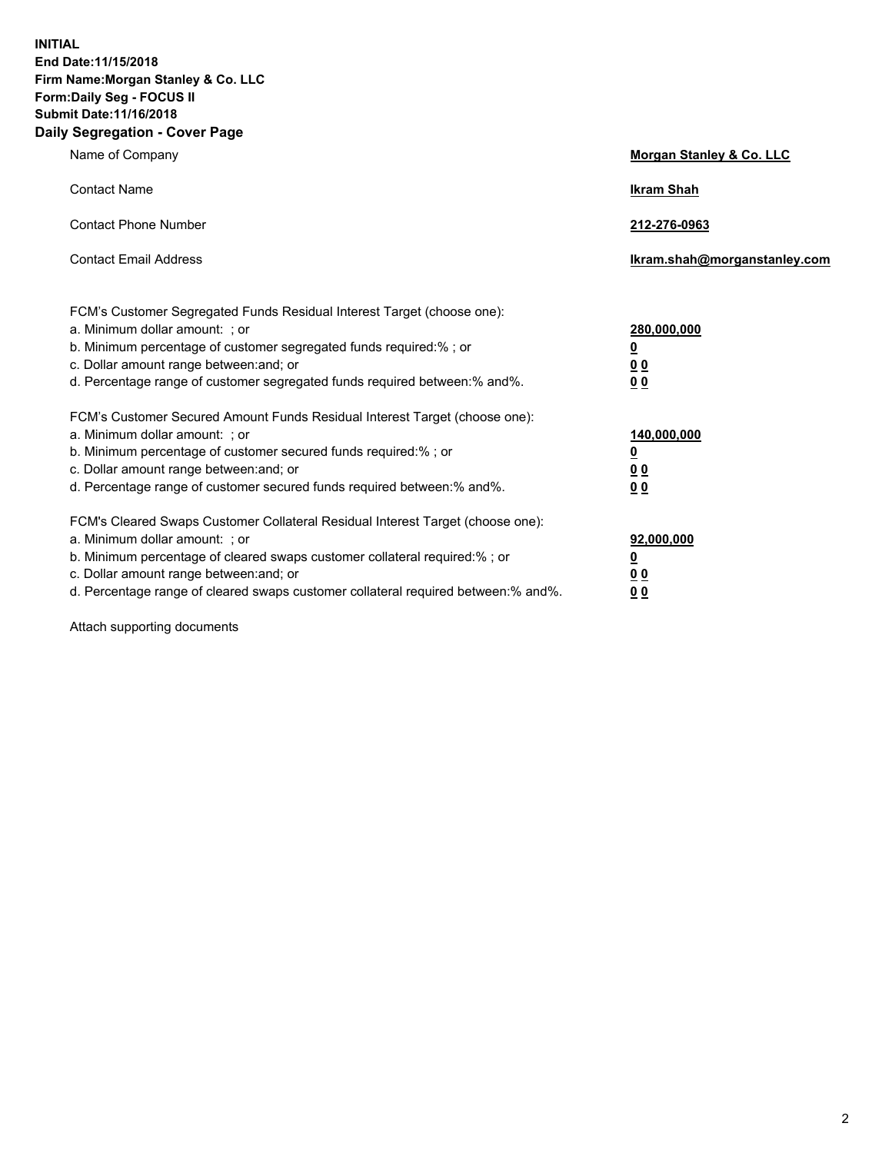**INITIAL End Date:11/15/2018 Firm Name:Morgan Stanley & Co. LLC Form:Daily Seg - FOCUS II Submit Date:11/16/2018 Daily Segregation - Cover Page**

| Name of Company                                                                                                                                                                                                                                                                                                                | Morgan Stanley & Co. LLC                               |
|--------------------------------------------------------------------------------------------------------------------------------------------------------------------------------------------------------------------------------------------------------------------------------------------------------------------------------|--------------------------------------------------------|
| <b>Contact Name</b>                                                                                                                                                                                                                                                                                                            | <b>Ikram Shah</b>                                      |
| <b>Contact Phone Number</b>                                                                                                                                                                                                                                                                                                    | 212-276-0963                                           |
| <b>Contact Email Address</b>                                                                                                                                                                                                                                                                                                   | lkram.shah@morganstanley.com                           |
| FCM's Customer Segregated Funds Residual Interest Target (choose one):<br>a. Minimum dollar amount: ; or<br>b. Minimum percentage of customer segregated funds required:% ; or<br>c. Dollar amount range between: and; or<br>d. Percentage range of customer segregated funds required between:% and%.                         | 280,000,000<br><u>0</u><br><u>0 0</u><br>0 Q           |
| FCM's Customer Secured Amount Funds Residual Interest Target (choose one):<br>a. Minimum dollar amount: ; or<br>b. Minimum percentage of customer secured funds required:%; or<br>c. Dollar amount range between: and; or<br>d. Percentage range of customer secured funds required between:% and%.                            | 140,000,000<br><u>0</u><br><u>00</u><br>0 <sub>0</sub> |
| FCM's Cleared Swaps Customer Collateral Residual Interest Target (choose one):<br>a. Minimum dollar amount: ; or<br>b. Minimum percentage of cleared swaps customer collateral required:% ; or<br>c. Dollar amount range between: and; or<br>d. Percentage range of cleared swaps customer collateral required between:% and%. | 92,000,000<br><u>0</u><br><u>00</u><br>0 <sup>0</sup>  |

Attach supporting documents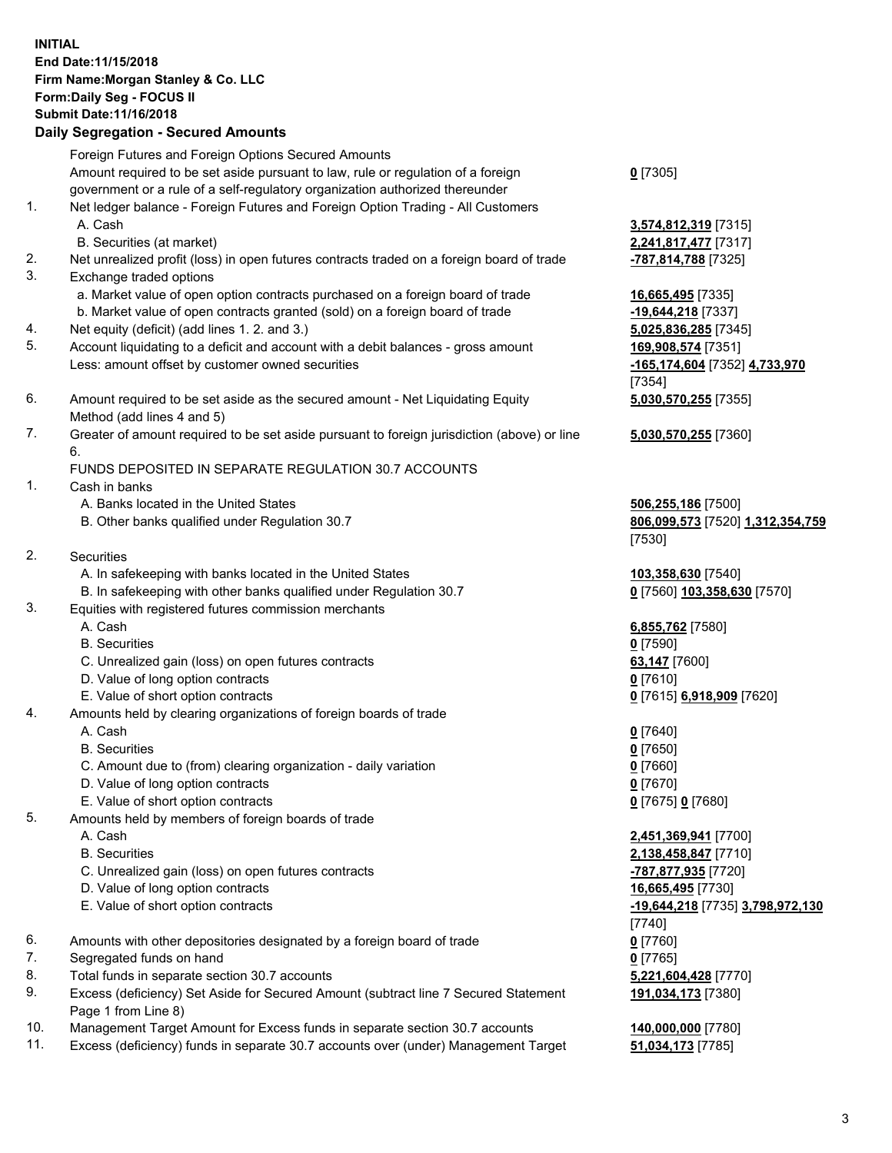## **INITIAL End Date:11/15/2018 Firm Name:Morgan Stanley & Co. LLC Form:Daily Seg - FOCUS II Submit Date:11/16/2018**

## **Daily Segregation - Secured Amounts**

Foreign Futures and Foreign Options Secured Amounts Amount required to be set aside pursuant to law, rule or regulation of a foreign government or a rule of a self-regulatory organization authorized thereunder

- 1. Net ledger balance Foreign Futures and Foreign Option Trading All Customers A. Cash **3,574,812,319** [7315]
	- B. Securities (at market) **2,241,817,477** [7317]
- 2. Net unrealized profit (loss) in open futures contracts traded on a foreign board of trade **-787,814,788** [7325]
- 3. Exchange traded options
	- a. Market value of open option contracts purchased on a foreign board of trade **16,665,495** [7335]
	- b. Market value of open contracts granted (sold) on a foreign board of trade **-19,644,218** [7337]
- 4. Net equity (deficit) (add lines 1. 2. and 3.) **5,025,836,285** [7345]
- 5. Account liquidating to a deficit and account with a debit balances gross amount **169,908,574** [7351] Less: amount offset by customer owned securities **-165,174,604** [7352] **4,733,970**
- 6. Amount required to be set aside as the secured amount Net Liquidating Equity Method (add lines 4 and 5)
- 7. Greater of amount required to be set aside pursuant to foreign jurisdiction (above) or line 6.

## FUNDS DEPOSITED IN SEPARATE REGULATION 30.7 ACCOUNTS

- 1. Cash in banks
	- A. Banks located in the United States **506,255,186** [7500]
	- B. Other banks qualified under Regulation 30.7 **806,099,573** [7520] **1,312,354,759**
- 2. Securities
	- A. In safekeeping with banks located in the United States **103,358,630** [7540]
	- B. In safekeeping with other banks qualified under Regulation 30.7 **0** [7560] **103,358,630** [7570]
- 3. Equities with registered futures commission merchants
	-
	- B. Securities **0** [7590]
	- C. Unrealized gain (loss) on open futures contracts **63,147** [7600]
	- D. Value of long option contracts **0** [7610]
- E. Value of short option contracts **0** [7615] **6,918,909** [7620]
- 4. Amounts held by clearing organizations of foreign boards of trade
	- A. Cash **0** [7640]
	- B. Securities **0** [7650]
	- C. Amount due to (from) clearing organization daily variation **0** [7660]
	- D. Value of long option contracts **0** [7670]
	- E. Value of short option contracts **0** [7675] **0** [7680]
- 5. Amounts held by members of foreign boards of trade
	-
	-
	- C. Unrealized gain (loss) on open futures contracts **-787,877,935** [7720]
	- D. Value of long option contracts **16,665,495** [7730]
	- E. Value of short option contracts **-19,644,218** [7735] **3,798,972,130**
- 6. Amounts with other depositories designated by a foreign board of trade **0** [7760]
- 7. Segregated funds on hand **0** [7765]
- 8. Total funds in separate section 30.7 accounts **5,221,604,428** [7770]
- 9. Excess (deficiency) Set Aside for Secured Amount (subtract line 7 Secured Statement Page 1 from Line 8)
- 10. Management Target Amount for Excess funds in separate section 30.7 accounts **140,000,000** [7780]
- 11. Excess (deficiency) funds in separate 30.7 accounts over (under) Management Target **51,034,173** [7785]

**0** [7305]

[7354] **5,030,570,255** [7355]

**5,030,570,255** [7360]

[7530]

A. Cash **6,855,762** [7580]

 A. Cash **2,451,369,941** [7700] B. Securities **2,138,458,847** [7710] [7740] **191,034,173** [7380]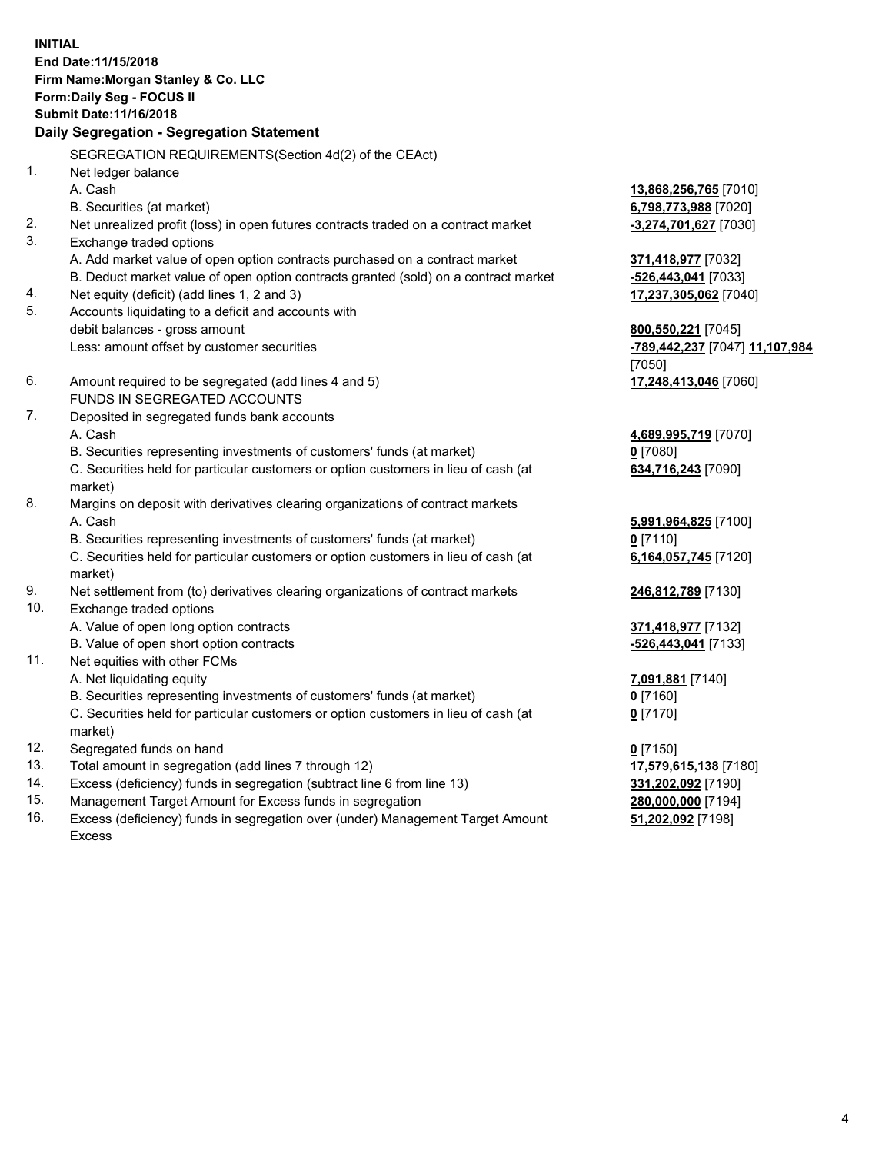**INITIAL End Date:11/15/2018 Firm Name:Morgan Stanley & Co. LLC Form:Daily Seg - FOCUS II Submit Date:11/16/2018 Daily Segregation - Segregation Statement** SEGREGATION REQUIREMENTS(Section 4d(2) of the CEAct) 1. Net ledger balance A. Cash **13,868,256,765** [7010] B. Securities (at market) **6,798,773,988** [7020] 2. Net unrealized profit (loss) in open futures contracts traded on a contract market **-3,274,701,627** [7030] 3. Exchange traded options A. Add market value of open option contracts purchased on a contract market **371,418,977** [7032] B. Deduct market value of open option contracts granted (sold) on a contract market **-526,443,041** [7033] 4. Net equity (deficit) (add lines 1, 2 and 3) **17,237,305,062** [7040] 5. Accounts liquidating to a deficit and accounts with debit balances - gross amount **800,550,221** [7045] Less: amount offset by customer securities **-789,442,237** [7047] **11,107,984** [7050] 6. Amount required to be segregated (add lines 4 and 5) **17,248,413,046** [7060] FUNDS IN SEGREGATED ACCOUNTS 7. Deposited in segregated funds bank accounts A. Cash **4,689,995,719** [7070] B. Securities representing investments of customers' funds (at market) **0** [7080] C. Securities held for particular customers or option customers in lieu of cash (at market) **634,716,243** [7090] 8. Margins on deposit with derivatives clearing organizations of contract markets A. Cash **5,991,964,825** [7100] B. Securities representing investments of customers' funds (at market) **0** [7110] C. Securities held for particular customers or option customers in lieu of cash (at market) **6,164,057,745** [7120] 9. Net settlement from (to) derivatives clearing organizations of contract markets **246,812,789** [7130] 10. Exchange traded options A. Value of open long option contracts **371,418,977** [7132] B. Value of open short option contracts **-526,443,041** [7133] 11. Net equities with other FCMs A. Net liquidating equity **7,091,881** [7140] B. Securities representing investments of customers' funds (at market) **0** [7160] C. Securities held for particular customers or option customers in lieu of cash (at market) **0** [7170] 12. Segregated funds on hand **0** [7150] 13. Total amount in segregation (add lines 7 through 12) **17,579,615,138** [7180] 14. Excess (deficiency) funds in segregation (subtract line 6 from line 13) **331,202,092** [7190]

- 15. Management Target Amount for Excess funds in segregation **280,000,000** [7194]
- 16. Excess (deficiency) funds in segregation over (under) Management Target Amount Excess

**51,202,092** [7198]